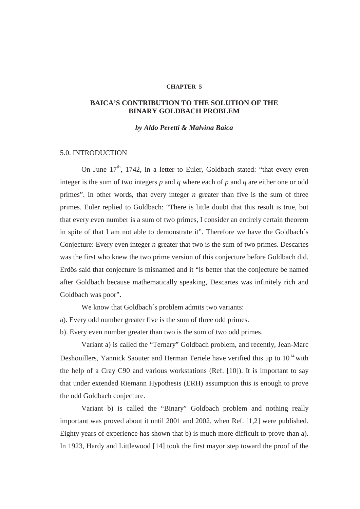### **CHAPTER 5**

# **BAICA'S CONTRIBUTION TO THE SOLUTION OF THE BINARY GOLDBACH PROBLEM**

### *by Aldo Peretti & Malvina Baica*

## 5.0. INTRODUCTION

On June  $17<sup>th</sup>$ , 1742, in a letter to Euler, Goldbach stated: "that every even integer is the sum of two integers *p* and *q* where each of *p* and *q* are either one or odd primes". In other words, that every integer *n* greater than five is the sum of three primes. Euler replied to Goldbach: "There is little doubt that this result is true, but that every even number is a sum of two primes, I consider an entirely certain theorem in spite of that I am not able to demonstrate it". Therefore we have the Goldbach´s Conjecture: Every even integer *n* greater that two is the sum of two primes. Descartes was the first who knew the two prime version of this conjecture before Goldbach did. Erdös said that conjecture is misnamed and it "is better that the conjecture be named after Goldbach because mathematically speaking, Descartes was infinitely rich and Goldbach was poor".

We know that Goldbach´s problem admits two variants:

a). Every odd number greater five is the sum of three odd primes.

b). Every even number greater than two is the sum of two odd primes.

 Variant a) is called the "Ternary" Goldbach problem, and recently, Jean-Marc Deshouillers, Yannick Saouter and Herman Teriele have verified this up to  $10^{14}$  with the help of a Cray C90 and various workstations (Ref. [10]). It is important to say that under extended Riemann Hypothesis (ERH) assumption this is enough to prove the odd Goldbach conjecture.

 Variant b) is called the "Binary" Goldbach problem and nothing really important was proved about it until 2001 and 2002, when Ref. [1,2] were published. Eighty years of experience has shown that b) is much more difficult to prove than a). In 1923, Hardy and Littlewood [14] took the first mayor step toward the proof of the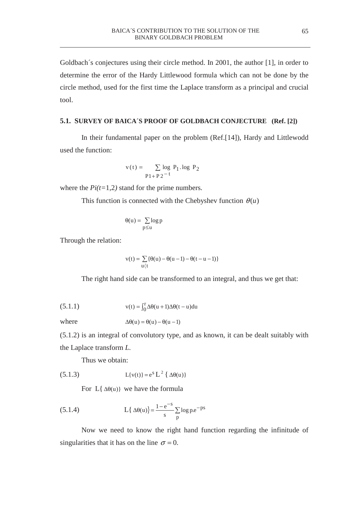Goldbach´s conjectures using their circle method. In 2001, the author [1], in order to determine the error of the Hardy Littlewood formula which can not be done by the circle method, used for the first time the Laplace transform as a principal and crucial tool.

## **5.1. SURVEY OF BAICA´S PROOF OF GOLDBACH CONJECTURE (Ref. [2])**

In their fundamental paper on the problem (Ref.[14]), Hardy and Littlewodd used the function:

$$
v(t) = \sum_{P1 + P2^{-t}} \log P_1 \log P_2
$$

where the *Pi(t=*1,2*)* stand for the prime numbers*.* 

This function is connected with the Chebyshev function  $\theta(u)$ 

$$
\theta(u) = \sum_{p \le u} \log p
$$

Through the relation:

$$
v(t) = \sum_{u \, \langle t} \{ \theta(u) - \theta(u-1) - \theta(t-u-1) \}
$$

The right hand side can be transformed to an integral, and thus we get that:

(5.1.1) 
$$
v(t) = \int_0^r \Delta \theta(u+1) \Delta \theta(t-u) du
$$

where  $\Delta\theta(u) = \theta(u) - \theta(u-1)$ 

(5.1.2) is an integral of convolutory type, and as known, it can be dealt suitably with the Laplace transform *L.* 

Thus we obtain:

(5.1.3) 
$$
L{v(t)} = e^{s} L^{2} {\{\Delta \theta(u)\}}
$$

For  $L\{\Delta\theta(u)\}\$  we have the formula

(5.1.4) 
$$
L\{\Delta \theta(u)\} = \frac{1 - e^{-s}}{s} \sum_{p} \log p.e^{-ps}
$$

Now we need to know the right hand function regarding the infinitude of singularities that it has on the line  $\sigma = 0$ .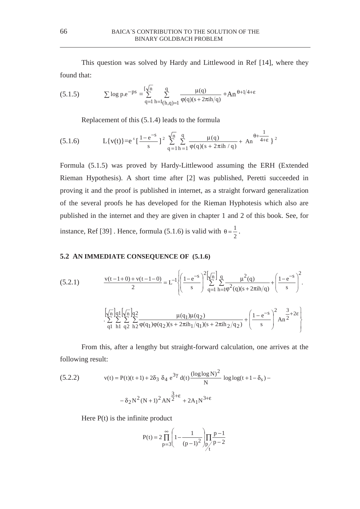This question was solved by Hardy and Littlewood in Ref [14], where they found that:

(5.1.5) 
$$
\sum \log p \cdot e^{-ps} = \sum_{q=1}^{\lfloor \sqrt{n} \rfloor} \sum_{h=1}^{q} \frac{\mu(q)}{(h,q)=1} \frac{\mu(q)}{\phi(q)(s+2\pi h/q)} + An^{\theta+1/4+\epsilon}
$$

Replacement of this (5.1.4) leads to the formula

(5.1.6) 
$$
L\{v(t)\} = e^s \left[\frac{1-e^{-s}}{s}\right]^2 \sum_{q=1}^{\sqrt{n}} \sum_{h=1}^q \frac{\mu(q)}{\varphi(q)(s+2\pi i h/q)} + An^{\theta + \frac{1}{4+\epsilon}} \}^2
$$

Formula (5.1.5) was proved by Hardy-Littlewood assuming the ERH (Extended Rieman Hypothesis). A short time after [2] was published, Peretti succeeded in proving it and the proof is published in internet, as a straight forward generalization of the several proofs he has developed for the Rieman Hyphotesis which also are published in the internet and they are given in chapter 1 and 2 of this book. See, for instance, Ref [39]. Hence, formula (5.1.6) is valid with  $\theta = \frac{1}{2}$ .

## **5.2 AN IMMEDIATE CONSEQUENCE OF (5.1.6)**

(5.2.1) 
$$
\frac{v(t-1+0)+v(t-1-0)}{2} = L^{-1} \left\{ \left( \frac{1-e^{-s}}{s} \right)^2 \left[ \frac{\sqrt{n}}{2} \right] \frac{q}{2} \frac{\mu^2(q)}{q-1} \frac{\mu^2(q)}{h=10^2(q)(s+2\pi i h/q)} + \left( \frac{1-e^{-s}}{s} \right)^2 \right\}.
$$

$$
\left[ \frac{\sqrt{n}}{q!} \right] \frac{q}{q!} \left[ \frac{\sqrt{n}}{n} \right] \frac{q}{q^2} \frac{\mu(q_1)\mu(q_2)}{q(1)\phi(q_2)(s+2\pi i h_1/q_1)(s+2\pi i h_2/q_2)} + \left( \frac{1-e^{-s}}{s} \right)^2 A n^{\frac{3}{2}+2\epsilon} \right\}
$$

From this, after a lengthy but straight-forward calculation, one arrives at the following result:

(5.2.2) 
$$
v(t) = P(t)(t+1) + 2\delta_3 \delta_4 e^{3\gamma} d(t) \frac{(\log \log N)^2}{N} \log \log(t+1-\delta_s) - \delta_2 N^2 (N+1)^2 A N^{\frac{3}{2}+\epsilon} + 2A_1 N^{3+\epsilon}
$$

Here  $P(t)$  is the infinite product

$$
P(t) = 2 \prod_{p=3}^{\infty} \left( 1 - \frac{1}{(p-1)^2} \right) \prod_{p \neq p} \frac{p-1}{p-2}
$$